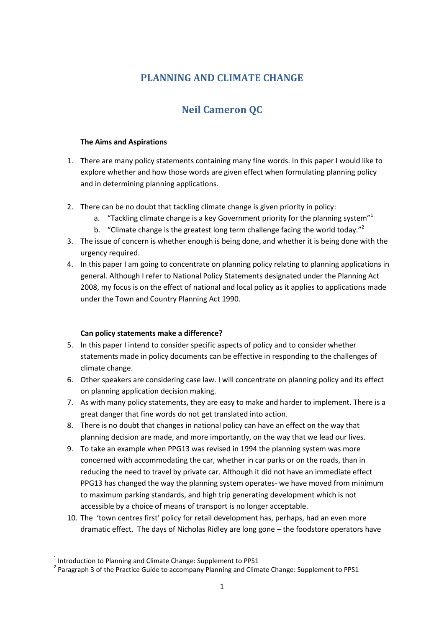# **PLANNING AND CLIMATE CHANGE**

# **Neil Cameron QC**

### **The Aims and Aspirations**

- 1. There are many policy statements containing many fine words. In this paper I would like to explore whether and how those words are given effect when formulating planning policy and in determining planning applications.
- 2. There can be no doubt that tackling climate change is given priority in policy:
	- a. "Tackling climate change is a key Government priority for the planning system"<sup>1</sup>
	- b. "Climate change is the greatest long term challenge facing the world today."<sup>2</sup>
- 3. The issue of concern is whether enough is being done, and whether it is being done with the urgency required.
- 4. In this paper I am going to concentrate on planning policy relating to planning applications in general. Although I refer to National Policy Statements designated under the Planning Act 2008, my focus is on the effect of national and local policy as it applies to applications made under the Town and Country Planning Act 1990.

### **Can policy statements make a difference?**

- 5. In this paper I intend to consider specific aspects of policy and to consider whether statements made in policy documents can be effective in responding to the challenges of climate change.
- 6. Other speakers are considering case law. I will concentrate on planning policy and its effect on planning application decision making.
- 7. As with many policy statements, they are easy to make and harder to implement. There is a great danger that fine words do not get translated into action.
- 8. There is no doubt that changes in national policy can have an effect on the way that planning decision are made, and more importantly, on the way that we lead our lives.
- 9. To take an example when PPG13 was revised in 1994 the planning system was more concerned with accommodating the car, whether in car parks or on the roads, than in reducing the need to travel by private car. Although it did not have an immediate effect PPG13 has changed the way the planning system operates- we have moved from minimum to maximum parking standards, and high trip generating development which is not accessible by a choice of means of transport is no longer acceptable.
- 10. The 'town centres first' policy for retail development has, perhaps, had an even more dramatic effect. The days of Nicholas Ridley are long gone – the foodstore operators have

 $<sup>1</sup>$  Introduction to Planning and Climate Change: Supplement to PPS1</sup>

<sup>&</sup>lt;sup>2</sup> Paragraph 3 of the Practice Guide to accompany Planning and Climate Change: Supplement to PPS1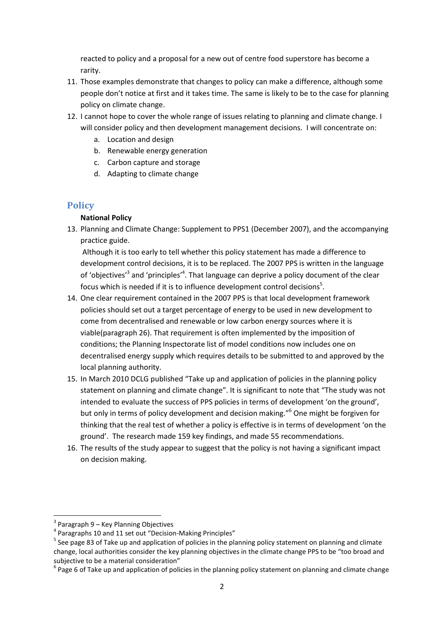reacted to policy and a proposal for a new out of centre food superstore has become a rarity.

- 11. Those examples demonstrate that changes to policy can make a difference, although some people don't notice at first and it takes time. The same is likely to be to the case for planning policy on climate change.
- 12. I cannot hope to cover the whole range of issues relating to planning and climate change. I will consider policy and then development management decisions. I will concentrate on:
	- a. Location and design
	- b. Renewable energy generation
	- c. Carbon capture and storage
	- d. Adapting to climate change

## **Policy**

### **National Policy**

13. Planning and Climate Change: Supplement to PPS1 (December 2007), and the accompanying practice guide.

Although it is too early to tell whether this policy statement has made a difference to development control decisions, it is to be replaced. The 2007 PPS is written in the language of 'objectives'<sup>3</sup> and 'principles'<sup>4</sup>. That language can deprive a policy document of the clear focus which is needed if it is to influence development control decisions $^5$ .

- 14. One clear requirement contained in the 2007 PPS is that local development framework policies should set out a target percentage of energy to be used in new development to come from decentralised and renewable or low carbon energy sources where it is viable(paragraph 26). That requirement is often implemented by the imposition of conditions; the Planning Inspectorate list of model conditions now includes one on decentralised energy supply which requires details to be submitted to and approved by the local planning authority.
- 15. In March 2010 DCLG published "Take up and application of policies in the planning policy statement on planning and climate change". It is significant to note that "The study was not intended to evaluate the success of PPS policies in terms of development 'on the ground', but only in terms of policy development and decision making."<sup>6</sup> One might be forgiven for thinking that the real test of whether a policy is effective is in terms of development 'on the ground'. The research made 159 key findings, and made 55 recommendations.
- 16. The results of the study appear to suggest that the policy is not having a significant impact on decision making.

<sup>&</sup>lt;sup>3</sup> Paragraph 9 – Key Planning Objectives

<sup>&</sup>lt;sup>4</sup> Paragraphs 10 and 11 set out "Decision-Making Principles"

<sup>&</sup>lt;sup>5</sup> See page 83 of Take up and application of policies in the planning policy statement on planning and climate change, local authorities consider the key planning objectives in the climate change PPS to be "too broad and subjective to be a material consideration"

 $^6$  Page 6 of Take up and application of policies in the planning policy statement on planning and climate change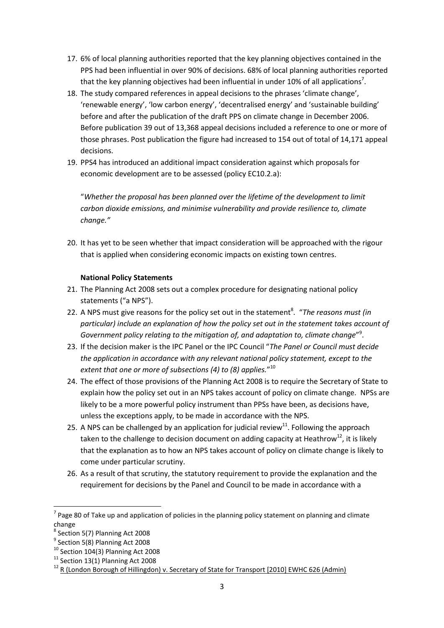- 17. 6% of local planning authorities reported that the key planning objectives contained in the PPS had been influential in over 90% of decisions. 68% of local planning authorities reported that the key planning objectives had been influential in under 10% of all applications<sup>7</sup>.
- 18. The study compared references in appeal decisions to the phrases 'climate change', 'renewable energy', 'low carbon energy', 'decentralised energy' and 'sustainable building' before and after the publication of the draft PPS on climate change in December 2006. Before publication 39 out of 13,368 appeal decisions included a reference to one or more of those phrases. Post publication the figure had increased to 154 out of total of 14,171 appeal decisions.
- 19. PPS4 has introduced an additional impact consideration against which proposals for economic development are to be assessed (policy EC10.2.a):

"*Whether the proposal has been planned over the lifetime of the development to limit carbon dioxide emissions, and minimise vulnerability and provide resilience to, climate change."*

20. It has yet to be seen whether that impact consideration will be approached with the rigour that is applied when considering economic impacts on existing town centres.

### **National Policy Statements**

- 21. The Planning Act 2008 sets out a complex procedure for designating national policy statements ("a NPS").
- 22. A NPS must give reasons for the policy set out in the statement<sup>8</sup>. "The reasons must (in *particular) include an explanation of how the policy set out in the statement takes account of*  Government policy relating to the mitigation of, and adaptation to, climate change"<sup>9</sup>.
- 23. If the decision maker is the IPC Panel or the IPC Council "*The Panel or Council must decide the application in accordance with any relevant national policy statement, except to the extent that one or more of subsections (4) to (8) applies.*" 10
- 24. The effect of those provisions of the Planning Act 2008 is to require the Secretary of State to explain how the policy set out in an NPS takes account of policy on climate change. NPSs are likely to be a more powerful policy instrument than PPSs have been, as decisions have, unless the exceptions apply, to be made in accordance with the NPS.
- 25. A NPS can be challenged by an application for judicial review<sup>11</sup>. Following the approach taken to the challenge to decision document on adding capacity at Heathrow<sup>12</sup>, it is likely that the explanation as to how an NPS takes account of policy on climate change is likely to come under particular scrutiny.
- 26. As a result of that scrutiny, the statutory requirement to provide the explanation and the requirement for decisions by the Panel and Council to be made in accordance with a

 $\overline{a}$ 

 $<sup>7</sup>$  Page 80 of Take up and application of policies in the planning policy statement on planning and climate</sup> change

<sup>8</sup> Section 5(7) Planning Act 2008

<sup>&</sup>lt;sup>9</sup> Section 5(8) Planning Act 2008

 $10$  Section 104(3) Planning Act 2008

 $11$  Section 13(1) Planning Act 2008

<sup>&</sup>lt;sup>12</sup> R (London Borough of Hillingdon) v. Secretary of State for Transport [2010] EWHC 626 (Admin)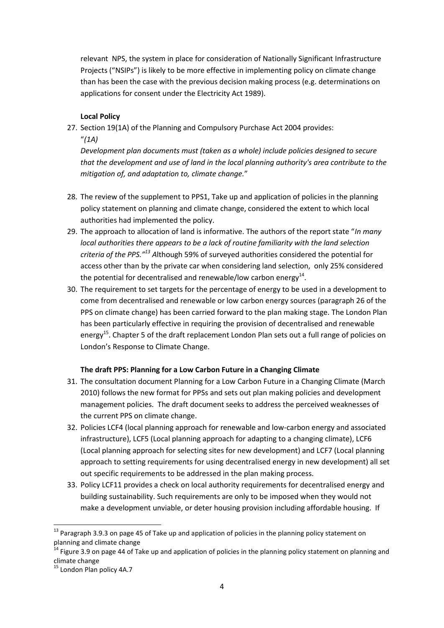relevant NPS, the system in place for consideration of Nationally Significant Infrastructure Projects ("NSIPs") is likely to be more effective in implementing policy on climate change than has been the case with the previous decision making process (e.g. determinations on applications for consent under the Electricity Act 1989).

### **Local Policy**

27. Section 19(1A) of the Planning and Compulsory Purchase Act 2004 provides: "*(1A)* 

*Development plan documents must (taken as a whole) include policies designed to secure that the development and use of land in the local planning authority's area contribute to the mitigation of, and adaptation to, climate change.*"

- 28. The review of the supplement to PPS1, Take up and application of policies in the planning policy statement on planning and climate change, considered the extent to which local authorities had implemented the policy.
- 29. The approach to allocation of land is informative. The authors of the report state "*In many local authorities there appears to be a lack of routine familiarity with the land selection criteria of the PPS."<sup>13</sup> A*lthough 59% of surveyed authorities considered the potential for access other than by the private car when considering land selection, only 25% considered the potential for decentralised and renewable/low carbon energy<sup>14</sup>.
- 30. The requirement to set targets for the percentage of energy to be used in a development to come from decentralised and renewable or low carbon energy sources (paragraph 26 of the PPS on climate change) has been carried forward to the plan making stage. The London Plan has been particularly effective in requiring the provision of decentralised and renewable energy<sup>15</sup>. Chapter 5 of the draft replacement London Plan sets out a full range of policies on London's Response to Climate Change.

### **The draft PPS: Planning for a Low Carbon Future in a Changing Climate**

- 31. The consultation document Planning for a Low Carbon Future in a Changing Climate (March 2010) follows the new format for PPSs and sets out plan making policies and development management policies. The draft document seeks to address the perceived weaknesses of the current PPS on climate change.
- 32. Policies LCF4 (local planning approach for renewable and low-carbon energy and associated infrastructure), LCF5 (Local planning approach for adapting to a changing climate), LCF6 (Local planning approach for selecting sites for new development) and LCF7 (Local planning approach to setting requirements for using decentralised energy in new development) all set out specific requirements to be addressed in the plan making process.
- 33. Policy LCF11 provides a check on local authority requirements for decentralised energy and building sustainability. Such requirements are only to be imposed when they would not make a development unviable, or deter housing provision including affordable housing. If

 $\overline{a}$ <sup>13</sup> Paragraph 3.9.3 on page 45 of Take up and application of policies in the planning policy statement on planning and climate change

<sup>&</sup>lt;sup>14</sup> Figure 3.9 on page 44 of Take up and application of policies in the planning policy statement on planning and climate change

<sup>&</sup>lt;sup>15</sup> London Plan policy 4A.7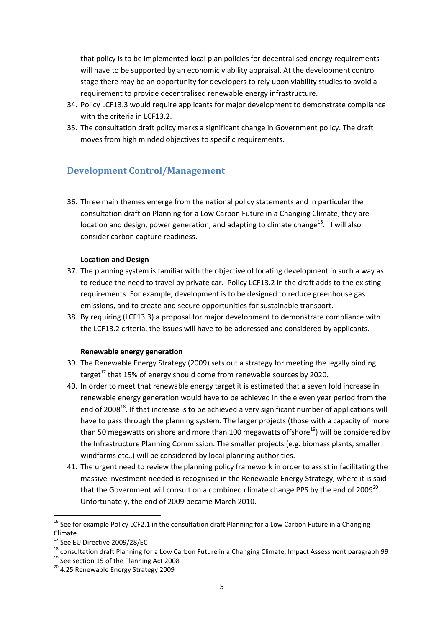that policy is to be implemented local plan policies for decentralised energy requirements will have to be supported by an economic viability appraisal. At the development control stage there may be an opportunity for developers to rely upon viability studies to avoid a requirement to provide decentralised renewable energy infrastructure.

- 34. Policy LCF13.3 would require applicants for major development to demonstrate compliance with the criteria in LCF13.2.
- 35. The consultation draft policy marks a significant change in Government policy. The draft moves from high minded objectives to specific requirements.

# **Development Control/Management**

36. Three main themes emerge from the national policy statements and in particular the consultation draft on Planning for a Low Carbon Future in a Changing Climate, they are location and design, power generation, and adapting to climate change $^{16}$ . I will also consider carbon capture readiness.

### **Location and Design**

- 37. The planning system is familiar with the objective of locating development in such a way as to reduce the need to travel by private car. Policy LCF13.2 in the draft adds to the existing requirements. For example, development is to be designed to reduce greenhouse gas emissions, and to create and secure opportunities for sustainable transport.
- 38. By requiring (LCF13.3) a proposal for major development to demonstrate compliance with the LCF13.2 criteria, the issues will have to be addressed and considered by applicants.

#### **Renewable energy generation**

- 39. The Renewable Energy Strategy (2009) sets out a strategy for meeting the legally binding target<sup>17</sup> that 15% of energy should come from renewable sources by 2020.
- 40. In order to meet that renewable energy target it is estimated that a seven fold increase in renewable energy generation would have to be achieved in the eleven year period from the end of 2008<sup>18</sup>. If that increase is to be achieved a very significant number of applications will have to pass through the planning system. The larger projects (those with a capacity of more than 50 megawatts on shore and more than 100 megawatts offshore<sup>19</sup>) will be considered by the Infrastructure Planning Commission. The smaller projects (e.g. biomass plants, smaller windfarms etc..) will be considered by local planning authorities.
- 41. The urgent need to review the planning policy framework in order to assist in facilitating the massive investment needed is recognised in the Renewable Energy Strategy, where it is said that the Government will consult on a combined climate change PPS by the end of 2009<sup>20</sup>. Unfortunately, the end of 2009 became March 2010.

<sup>&</sup>lt;sup>16</sup> See for example Policy LCF2.1 in the consultation draft Planning for a Low Carbon Future in a Changing Climate

<sup>17</sup> See EU Directive 2009/28/EC

<sup>18</sup> consultation draft Planning for a Low Carbon Future in a Changing Climate, Impact Assessment paragraph 99

<sup>&</sup>lt;sup>19</sup> See section 15 of the Planning Act 2008

<sup>&</sup>lt;sup>20</sup> 4.25 Renewable Energy Strategy 2009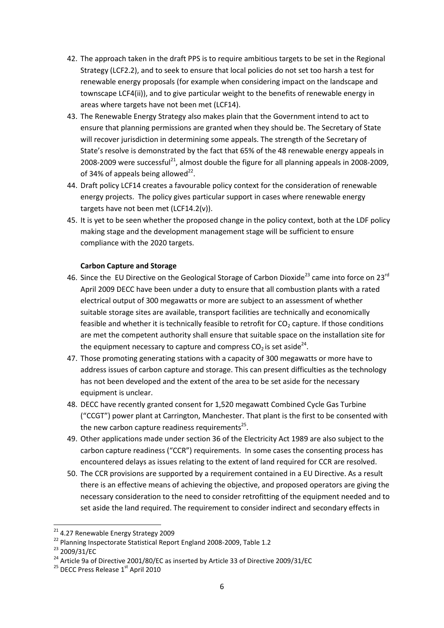- 42. The approach taken in the draft PPS is to require ambitious targets to be set in the Regional Strategy (LCF2.2), and to seek to ensure that local policies do not set too harsh a test for renewable energy proposals (for example when considering impact on the landscape and townscape LCF4(ii)), and to give particular weight to the benefits of renewable energy in areas where targets have not been met (LCF14).
- 43. The Renewable Energy Strategy also makes plain that the Government intend to act to ensure that planning permissions are granted when they should be. The Secretary of State will recover jurisdiction in determining some appeals. The strength of the Secretary of State's resolve is demonstrated by the fact that 65% of the 48 renewable energy appeals in 2008-2009 were successful<sup>21</sup>, almost double the figure for all planning appeals in 2008-2009, of 34% of appeals being allowed $^{22}$ .
- 44. Draft policy LCF14 creates a favourable policy context for the consideration of renewable energy projects. The policy gives particular support in cases where renewable energy targets have not been met (LCF14.2(v)).
- 45. It is yet to be seen whether the proposed change in the policy context, both at the LDF policy making stage and the development management stage will be sufficient to ensure compliance with the 2020 targets.

### **Carbon Capture and Storage**

- 46. Since the EU Directive on the Geological Storage of Carbon Dioxide<sup>23</sup> came into force on 23<sup>rd</sup> April 2009 DECC have been under a duty to ensure that all combustion plants with a rated electrical output of 300 megawatts or more are subject to an assessment of whether suitable storage sites are available, transport facilities are technically and economically feasible and whether it is technically feasible to retrofit for  $CO<sub>2</sub>$  capture. If those conditions are met the competent authority shall ensure that suitable space on the installation site for the equipment necessary to capture and compress CO<sub>2</sub> is set aside<sup>24</sup>.
- 47. Those promoting generating stations with a capacity of 300 megawatts or more have to address issues of carbon capture and storage. This can present difficulties as the technology has not been developed and the extent of the area to be set aside for the necessary equipment is unclear.
- 48. DECC have recently granted consent for 1,520 megawatt Combined Cycle Gas Turbine ("CCGT") power plant at Carrington, Manchester. That plant is the first to be consented with the new carbon capture readiness requirements<sup>25</sup>.
- 49. Other applications made under section 36 of the Electricity Act 1989 are also subject to the carbon capture readiness ("CCR") requirements. In some cases the consenting process has encountered delays as issues relating to the extent of land required for CCR are resolved.
- 50. The CCR provisions are supported by a requirement contained in a EU Directive. As a result there is an effective means of achieving the objective, and proposed operators are giving the necessary consideration to the need to consider retrofitting of the equipment needed and to set aside the land required. The requirement to consider indirect and secondary effects in

 $\overline{a}$ 

<sup>&</sup>lt;sup>21</sup> 4.27 Renewable Energy Strategy 2009

<sup>&</sup>lt;sup>22</sup> Planning Inspectorate Statistical Report England 2008-2009, Table 1.2

<sup>23</sup> 2009/31/EC

<sup>&</sup>lt;sup>24</sup> Article 9a of Directive 2001/80/EC as inserted by Article 33 of Directive 2009/31/EC

<sup>&</sup>lt;sup>25</sup> DECC Press Release 1<sup>st</sup> April 2010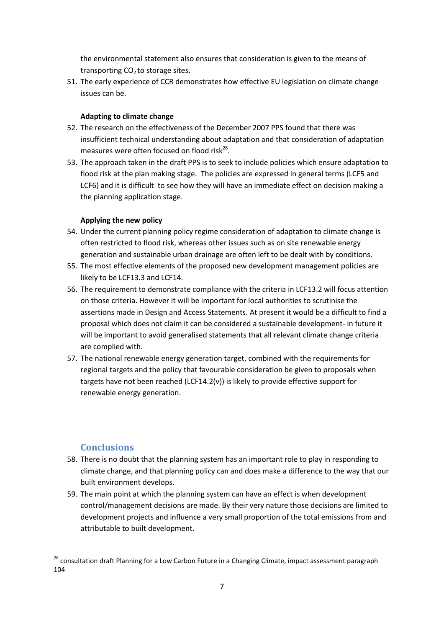the environmental statement also ensures that consideration is given to the means of transporting  $CO<sub>2</sub>$  to storage sites.

51. The early experience of CCR demonstrates how effective EU legislation on climate change issues can be.

### **Adapting to climate change**

- 52. The research on the effectiveness of the December 2007 PPS found that there was insufficient technical understanding about adaptation and that consideration of adaptation measures were often focused on flood risk<sup>26</sup>.
- 53. The approach taken in the draft PPS is to seek to include policies which ensure adaptation to flood risk at the plan making stage. The policies are expressed in general terms (LCF5 and LCF6) and it is difficult to see how they will have an immediate effect on decision making a the planning application stage.

### **Applying the new policy**

- 54. Under the current planning policy regime consideration of adaptation to climate change is often restricted to flood risk, whereas other issues such as on site renewable energy generation and sustainable urban drainage are often left to be dealt with by conditions.
- 55. The most effective elements of the proposed new development management policies are likely to be LCF13.3 and LCF14.
- 56. The requirement to demonstrate compliance with the criteria in LCF13.2 will focus attention on those criteria. However it will be important for local authorities to scrutinise the assertions made in Design and Access Statements. At present it would be a difficult to find a proposal which does not claim it can be considered a sustainable development- in future it will be important to avoid generalised statements that all relevant climate change criteria are complied with.
- 57. The national renewable energy generation target, combined with the requirements for regional targets and the policy that favourable consideration be given to proposals when targets have not been reached (LCF14.2(v)) is likely to provide effective support for renewable energy generation.

### **Conclusions**

- 58. There is no doubt that the planning system has an important role to play in responding to climate change, and that planning policy can and does make a difference to the way that our built environment develops.
- 59. The main point at which the planning system can have an effect is when development control/management decisions are made. By their very nature those decisions are limited to development projects and influence a very small proportion of the total emissions from and attributable to built development.

<sup>&</sup>lt;sup>26</sup> consultation draft Planning for a Low Carbon Future in a Changing Climate, impact assessment paragraph 104